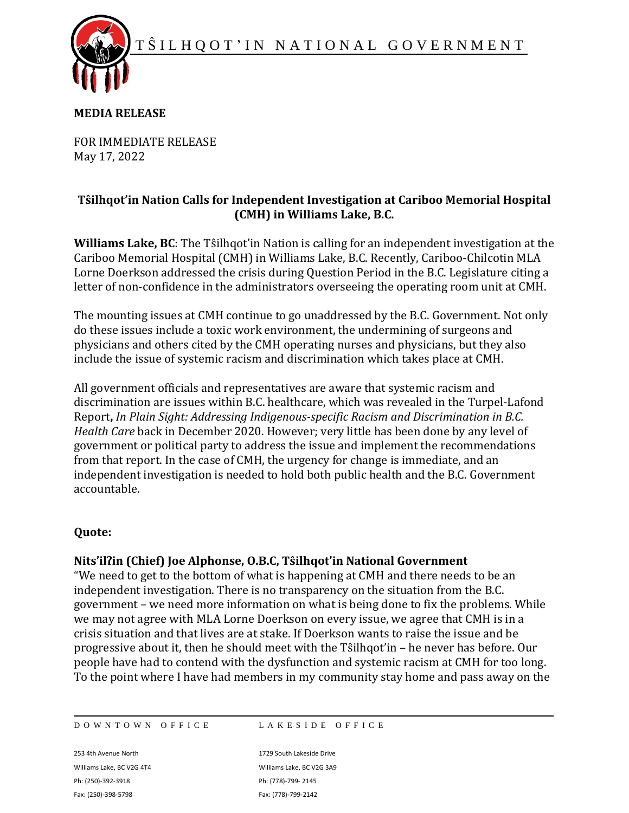T Ŝ I L H Q O T ' I N N A T I O N A L G O V E R N M E N T



### **MEDIA RELEASE**

FOR IMMEDIATE RELEASE May 17, 2022

# **Tŝilhqot'in Nation Calls for Independent Investigation at Cariboo Memorial Hospital (CMH) in Williams Lake, B.C.**

**Williams Lake, BC**: The Tŝilhqot'in Nation is calling for an independent investigation at the Cariboo Memorial Hospital (CMH) in Williams Lake, B.C. Recently, Cariboo-Chilcotin MLA Lorne Doerkson addressed the crisis during Question Period in the B.C. Legislature citing a letter of non-confidence in the administrators overseeing the operating room unit at CMH.

The mounting issues at CMH continue to go unaddressed by the B.C. Government. Not only do these issues include a toxic work environment, the undermining of surgeons and physicians and others cited by the CMH operating nurses and physicians, but they also include the issue of systemic racism and discrimination which takes place at CMH.

All government officials and representatives are aware that systemic racism and discrimination are issues within B.C. healthcare, which was revealed in the Turpel-Lafond Report**,** *In Plain Sight: Addressing Indigenous-specific Racism and Discrimination in B.C. Health Care* back in December 2020. However; very little has been done by any level of government or political party to address the issue and implement the recommendations from that report. In the case of CMH, the urgency for change is immediate, and an independent investigation is needed to hold both public health and the B.C. Government accountable.

### **Quote:**

# **Nits'ilʔin (Chief) Joe Alphonse, O.B.C, Tŝilhqot'in National Government**

"We need to get to the bottom of what is happening at CMH and there needs to be an independent investigation. There is no transparency on the situation from the B.C. government – we need more information on what is being done to fix the problems. While we may not agree with MLA Lorne Doerkson on every issue, we agree that CMH is in a crisis situation and that lives are at stake. If Doerkson wants to raise the issue and be progressive about it, then he should meet with the Tŝilhqot'in – he never has before. Our people have had to contend with the dysfunction and systemic racism at CMH for too long. To the point where I have had members in my community stay home and pass away on the

DOWNTOWN OFFICE LAKESIDE OFFICE

253 4th Avenue North 1729 South Lakeside Drive Williams Lake, BC V2G 4T4 Williams Lake, BC V2G 3A9 Ph: (250)-392-3918 Ph: (778)-799- 2145 Fax: (250)-398-5798 Fax: (778)-799-2142